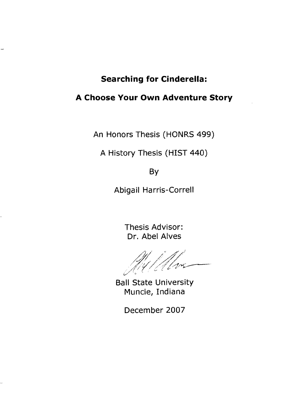### **Searching for Cinderella:**

### **A Choose Your Own Adventure Story**

An Honors Thesis (HONRS 499)

A History Thesis (HIST 440)

By

Abigail Harris-Correll

Thesis Advisor: Dr. Abel Alves

Ball State University Muncie, Indiana

December 2007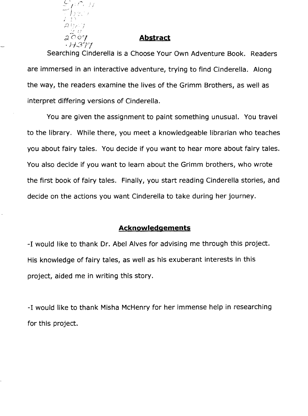

### Abstract

Searching Cinderella is a Choose Your Own Adventure Book. Readers are immersed in an interactive adventure, trying to find Cinderella. Along the way, the readers examine the lives of the Grimm Brothers, as well as interpret differing versions of Cinderella.

You are given the assignment to paint something unusual. You travel to the library. While there, you meet a knowledgeable librarian who teaches you about fairy tales. You decide if you want to hear more about fairy tales. You also decide if you want to learn about the Grimm brothers, who wrote the first book of fairy tales. Finally, you start reading Cinderella stories, and decide on the actions you want Cinderella to take during her journey.

### **Acknowledgements**

-1 would like to thank Dr. Abel Alves for advising me through this project. His knowledge of fairy tales, as well as his exuberant interests in this project, aided me in writing this story.

-1 would like to thank Misha McHenry for her immense help in researching for this project.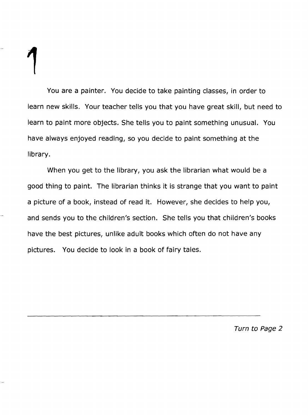You are a painter. You decide to take painting classes, in order to learn new skills. Your teacher tells you that you have great skill, but need to learn to paint more objects. She tells you to paint something unusual. You have always enjoyed reading, so you decide to paint something at the library.

When you get to the library, you ask the librarian what would be a good thing to paint. The librarian thinks it is strange that you want to paint a picture of a book, instead of read it. However, she decides to help you, and sends you to the children's section. She tells you that children's books have the best pictures, unlike adult books which often do not have any pictures. You decide to look in a book of fairy tales.

Turn to Page 2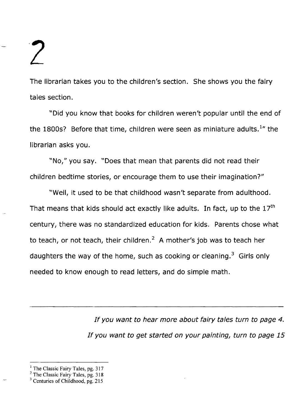The librarian takes you to the children's section. She shows you the fairy tales section.

"Did you know that books for children weren't popular until the end of the 1800s? Before that time, children were seen as miniature adults.<sup>1</sup> the librarian asks you.

"No," you say. "Does that mean that parents did not read their children bedtime stories, or encourage them to use their imagination?"

"Well, it used to be that childhood wasn't separate from adulthood. That means that kids should act exactly like adults. In fact, up to the  $17<sup>th</sup>$ century, there was no standardized education for kids. Parents chose what to teach, or not teach, their children. $<sup>2</sup>$  A mother's job was to teach her</sup> daughters the way of the home, such as cooking or cleaning.<sup>3</sup> Girls only needed to know enough to read letters, and do simple math.

> If you want to hear more about fairy tales turn to page 4. If you want to get started on your painting, turn to page 15

 $<sup>1</sup>$  The Classic Fairy Tales, pg. 317</sup>

 $2$  The Classic Fairy Tales, pg. 318

<sup>&</sup>lt;sup>3</sup> Centuries of Childhood, pg. 215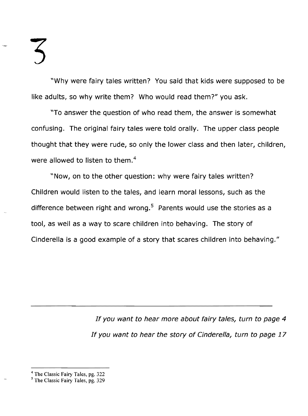"Why were fairy tales written? You said that kids were supposed to be like adults, so why write them? Who would read them?" you ask.

\\To answer the question of who read them, the answer is somewhat confusing. The original fairy tales were told orally. The upper class people thought that they were rude, so only the lower class and then later, children, were allowed to listen to them.<sup>4</sup>

"Now, on to the other question: why were fairy tales written? Children would listen to the tales, and learn moral lessons, such as the difference between right and wrong.<sup>5</sup> Parents would use the stories as a tool, as well as a way to scare children into behaving. The story of Cinderella is a good example of a story that scares children into behaving."

> If you want to hear more about fairy tales, turn to page 4 If you want to hear the story of Cinderella, turn to page 17

<sup>&</sup>lt;sup>4</sup> The Classic Fairy Tales, pg. 322

<sup>&</sup>lt;sup>5</sup> The Classic Fairy Tales, pg. 329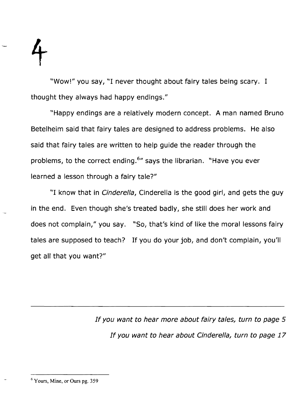"Wow!" you say, "I never thought about fairy tales being scary. 1 thought they always had happy endings."

"Happy endings are a relatively modern concept. A man named Bruno Betelheim said that fairy tales are designed to address problems. He also said that fairy tales are written to help guide the reader through the problems, to the correct ending.<sup>6</sup>" says the librarian. "Have you ever learned a lesson through a fairy tale?"

"I know that in *Cinderella*, Cinderella is the good girl, and gets the guy in the end. Even though she's treated badly, she still does her work and does not complain," you say. "So, that's kind of like the moral lessons fairy tales are supposed to teach? If you do your job, and don't complain, you'll get all that you want?"

> If you want to hear more about fairy tales, turn to page 5 If you want to hear about Cinderella, turn to page 17

<sup>6</sup> Yours, Mine, or Ours pg. 359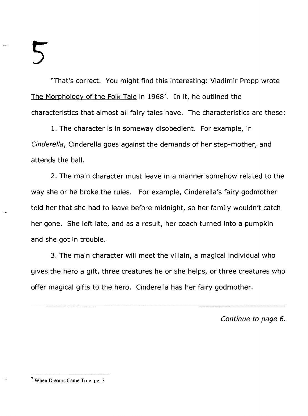"That's correct. You might find this interesting: Vladimir Propp wrote The Morphology of the Folk Tale in 1968<sup>7</sup>. In it, he outlined the characteristics that almost all fairy tales have. The characteristics are these:

1. The character is in someway disobedient. For example, in Cinderella, Cinderella goes against the demands of her step-mother, and attends the ball.

2. The main character must leave in a manner somehow related to the way she or he broke the rules. For example, Cinderella's fairy godmother told her that she had to leave before midnight, so her family wouldn't catch her gone. She left late, and as a result, her coach turned into a pumpkin and she got in trouble.

3. The main character will meet the villain, a magical individual who gives the hero a gift, three creatures he or she helps, or three creatures who offer magical gifts to the hero. Cinderella has her fairy godmother.

Continue to page 6.

<sup>7</sup> When Dreams Came True, pg. 3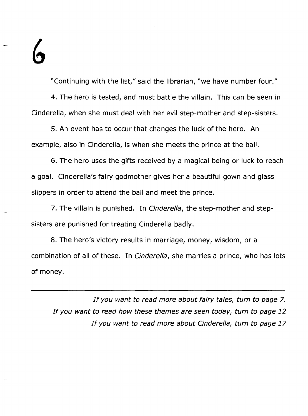"Continuing with the list," said the librarian, "we have number four." 4. The hero is tested, and must battle the villain. This can be seen in Cinderella, when she must deal with her evil step-mother and step-sisters.

5. An event has to occur that changes the luck of the hero. An example, also in Cinderella, is when she meets the prince at the ball.

6. The hero uses the gifts received by a magical being or luck to reach a goal. Cinderella's fairy godmother gives her a beautiful gown and glass slippers in order to attend the ball and meet the prince.

7. The villain is punished. In Cinderella, the step-mother and stepsisters are punished for treating Cinderella badly.

8. The hero's victory results in marriage, money, wisdom, or a combination of all of these. In Cinderella, she marries a prince, who has lots of money.

If you want to read more about fairy tales, turn to page 7. If you want to read how these themes are seen today, turn to page 12 If you want to read more about Cinderella, turn to page 17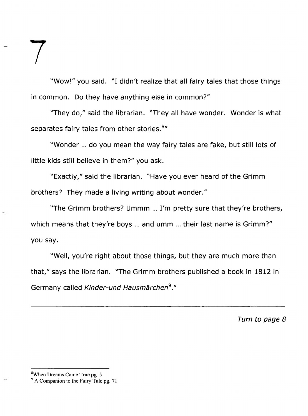"Wow!" you said. "I didn't realize that all fairy tales that those things in common. Do they have anything else in common?"

"They do," said the librarian. "They all have wonder. Wonder is what separates fairy tales from other stories. 8"

"Wonder ... do you mean the way fairy tales are fake, but still lots of little kids still believe in them?" you ask.

"Exactly," said the librarian. "Have you ever heard of the Grimm brothers? They made a living writing about wonder."

"The Grimm brothers? Ummm ... I'm pretty sure that they're brothers, which means that they're boys ... and umm ... their last name is Grimm?" you say.

"Well, you're right about those things, but they are much more than that," says the librarian. "The Grimm brothers published a book in 1812 in Germany called Kinder-und Hausmarchen*<sup>9</sup> ."* 

Turn to page 8

7

<sup>&</sup>lt;sup>9</sup> A Companion to the Fairy Tale pg. 71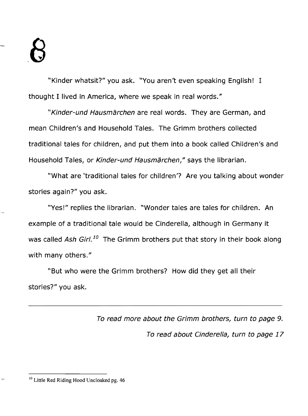"Kinder whatsit?" you ask. "You aren't even speaking English! I thought I lived in America, where we speak in real words."

"Kinder-und Hausmärchen are real words. They are German, and mean Children's and Household Tales. The Grimm brothers collected traditional tales for children, and put them into a book called Children's and Household Tales, or Kinder-und Hausmärchen," says the librarian.

"What are 'traditional tales for children'? Are you talking about wonder stories again?" you ask.

"Yes!" replies the librarian. "Wonder tales are tales for children. An example of a traditional tale would be Cinderella, although in Germany it was called Ash Girl.<sup>10</sup> The Grimm brothers put that story in their book along with many others."

"But who were the Grimm brothers? How did they get all their stories?" you ask.

> To read more about the Grimm brothers, turn to page 9. To read about Cinderella, turn to page 17

<sup>10</sup> Little Red Riding Hood Uncloaked pg. 46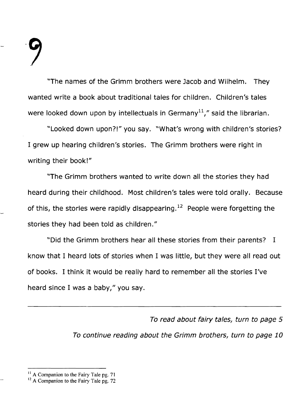$\mathcal{L}$ 

"The names of the Grimm brothers were Jacob and Wilhelm. They wanted write a book about traditional tales for children. Children's tales were looked down upon by intellectuals in Germany<sup>11</sup>," said the librarian.

"Looked down upon?!" you say. "What's wrong with children's stories? I grew up hearing children's stories. The Grimm brothers were right in writing their book!"

"The Grimm brothers wanted to write down all the stories they had heard during their childhood. Most children's tales were told orally. Because of this, the stories were rapidly disappearing.<sup>12</sup> People were forgetting the stories they had been told as children."

"Did the Grimm brothers hear all these stories from their parents? I know that I heard lots of stories when I was little, but they were all read out of books. I think it would be really hard to remember all the stories I've heard since I was a baby," you say.

> To read about fairy tales, turn to page 5 To continue reading about the Grimm brothers, turn to page 10

 $<sup>11</sup>$  A Companion to the Fairy Tale pg. 71</sup>

<sup>&</sup>lt;sup>12</sup> A Companion to the Fairy Tale pg. 72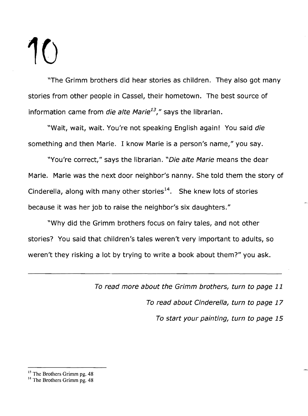"The Grimm brothers did hear stories as children. They also got many stories from other people in Cassel, their hometown. The best source of information came from *die alte Marie<sup>13</sup>*," says the librarian.

"Wait, wait, wait. You're not speaking English again! You said die something and then Marie. I know Marie is a person's name," you say.

"You're correct," says the librarian. "Die alte Marie means the dear Marie. Marie was the next door neighbor's nanny. She told them the story of Cinderella, along with many other stories<sup>14</sup>. She knew lots of stories because it was her job to raise the neighbor's six daughters."

"Why did the Grimm brothers focus on fairy tales, and not other stories? You said that children's tales weren't very important to adults, so weren't they risking a lot by trying to write a book about them?" you ask.

To read more about the Grimm brothers, turn to page 11

To read about Cinderella, turn to page 17

To start your painting, turn to page 15

 $^{13}$  The Brothers Grimm pg. 48

<sup>&</sup>lt;sup>14</sup> The Brothers Grimm pg. 48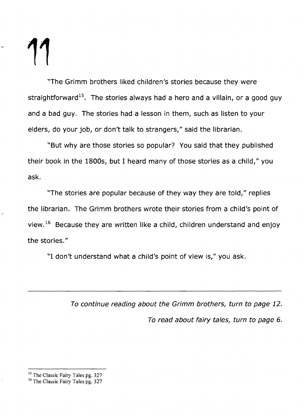"The Grimm brothers liked children's stories because they were straightforward<sup>15</sup>. The stories always had a hero and a villain, or a good guy and a bad guy. The stories had a lesson in them, such as listen to your elders, do your job, or don't talk to strangers," said the librarian.

"But why are those stories so popular? You said that they published their book in the 1800s, but 1 heard many of those stories as a child," you ask.

"The stories are popular because of they way they are told," replies the librarian. The Grimm brothers wrote their stories 'from a child's point of view.  $16$  Because they are written like a child, children understand and enjoy the stories."

"I don't understand what a child's point of view is," you ask.

To continue reading about the Grimm brothers, turn to page 12. To read about fairy tales, turn to page 6.

<sup>&</sup>lt;sup>15</sup> The Classic Fairy Tales pg. 327

<sup>&</sup>lt;sup>16</sup> The Classic Fairy Tales pg. 327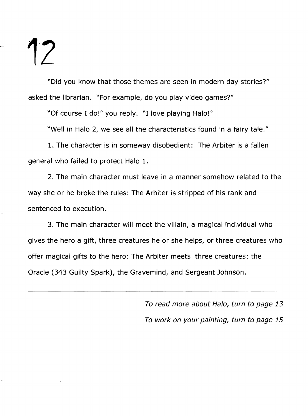"Did you know that those themes are seen in modern day stories?" asked the librarian. "For example, do you play video games?"

"Of course 1 do!" you reply. "I love playing Halo!"

"Well in Halo 2, we see all the characteristics found in a fairy tale."

1. The character is in someway disobedient: The Arbiter is a fallen general who failed to protect Halo 1.

2. The main character must leave in a manner somehow related to the way she or he broke the rules: The Arbiter is stripped of his rank and sentenced to execution.

3. The main character will meet the villain, a magical individual who gives the hero a gift, three creatures he or she helps, or three creatures who offer magical gifts to the hero: The Arbiter meets three creatures: the Oracle (343 Guilty Spark), the Gravemind, and Sergeant Johnson.

> To read more about Halo, turn to page 13 To work on your painting, turn to page 15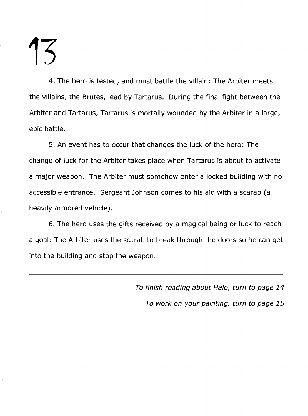4. The hero is tested, and must battle the villain: The Arbiter meets the villains, the Brutes, lead by Tartarus. During the final fight between the Arbiter and Tartarus, Tartarus is mortally wounded by the Arbiter in a large, epic battle.

5. An event has to occur that changes the luck of the hero: The change of luck for the Arbiter takes place when Tartarus is about to activate a major weapon. The Arbiter must somehow enter a locked building with no accessible entrance. Sergeant Johnson comes to his aid with a scarab (a heavily armored vehicle).

6. The hero uses the gifts received by a magical being or luck to reach a goal: The Arbiter uses the scarab to break through the doors so he can get into the building and stop the weapon.

> To finish reading about Halo, turn to page 14 To work on your painting, turn to page 15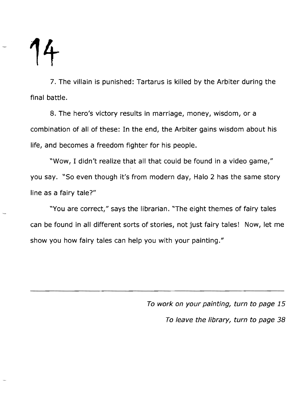**1t** 

7. The villain is punished: Tartarus is killed by the Arbiter during the final battle.

8. The hero's victory results in marriage, money, wisdom, or a combination of all of these: In the end, the Arbiter gains wisdom about his life, and becomes a freedom fighter for his people.

"Wow, I didn't realize that all that could be found in a video game," you say. "So even though it's from modern day, Halo 2 has the same story line as a fairy tale?"

"You are correct," says the librarian. "The eight themes of fairy tales can be found in all different sorts of stories, not just fairy tales! Now, let me show you how fairy tales can help you with your painting."

> To work on your painting, turn to page 15 To leave the library, turn to page 38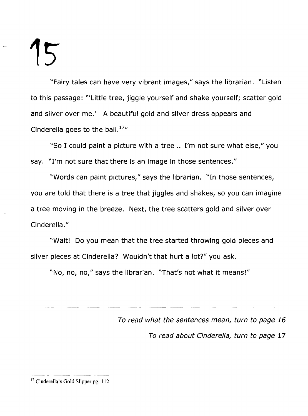"Fairy tales can have very vibrant images," says the librarian. "Listen to this passage: \"Little tree, jiggle yourself and shake yourself; scatter gold and silver over me.' A beautiful gold and silver dress appears and Cinderella goes to the ball. $17''$ 

"So I could paint a picture with a tree ... I'm not sure what else," you say. "I'm not sure that there is an image in those sentences."

"Words can paint pictures," says the librarian. "In those sentences, you are told that there is a tree that jiggles and shakes, so you can imagine a tree moving in the breeze. Next, the tree scatters gold and silver over Cinderella. "

"Wait! Do you mean that the tree started throwing gold pieces and silver pieces at Cinderella? Wouldn't that hurt a lot?" you ask.

"No, no, no," says the librarian. "That's not what it means!"

To read what the sentences mean, turn to page 16 To read about Cinderella, turn to page 17

<sup>&</sup>lt;sup>17</sup> Cinderella's Gold Slipper pg. 112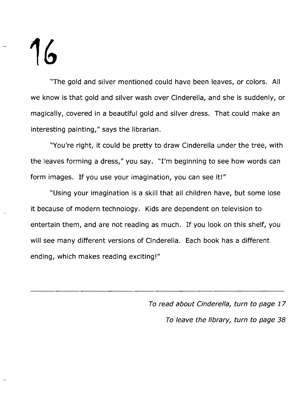"The gold and silver mentioned could have been leaves, or colors. All we know is that gold and silver wash over Cinderella, and she is suddenly, or magically, covered in a beautiful gold and silver dress. That could make an interesting painting," says the librarian.

"You're right, it could be pretty to draw Cinderella under the tree, with the leaves forming a dress," you say. "I'm beginning to see how words can form images. If you use your imagination, you can see it!"

"Using your imagination is a skill that all children have, but some lose it because of modern technology. Kids are dependent on television to entertain them, and are not reading as much. If you look on this shelf, you will see many different versions of Cinderella. Each book has a different ending, which makes reading exciting!"

> To read about Cinderella, turn to page 17 To leave the library, turn to page 38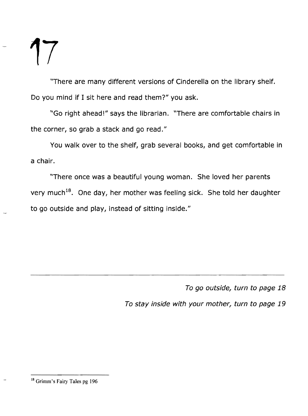"There are many different versions of Cinderella on the library shelf. Do you mind if I sit here and read them?" you ask.

"Go right ahead!" says the librarian. "There are comfortable chairs in the corner, so grab a stack and go read."

You walk over to the shelf, grab several books, and get comfortable in a chair.

"There once was a beautiful young woman. She loved her parents very much<sup>18</sup>. One day, her mother was feeling sick. She told her daughter to go outside and play, instead of sitting inside."

To go outside, turn to page 18

To stay inside with your mother, turn to page 19

<sup>18</sup> Grimm's Fairy Tales pg 196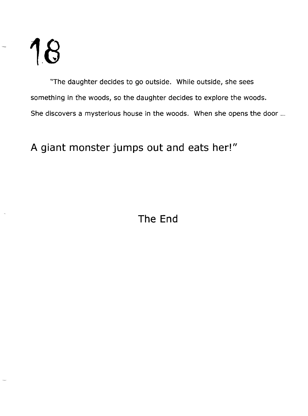"The daughter decides to go outside. While outside, she sees something in fhe woods, so the daughter decides to explore the woods. She discovers a mysterious house in the woods. When she opens the door ...

**A giant monster jumps out and eats her!"**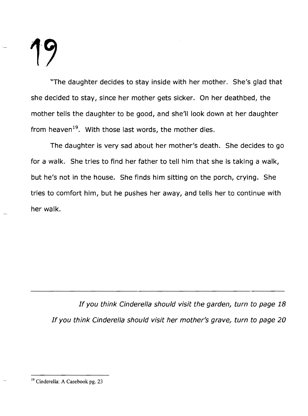"The daughter decides to stay inside with her mother. She's glad that she decided to stay, since her mother gets sicker. On her deathbed, the mother tells the daughter to be good, and she'll look down at her daughter from heaven<sup>19</sup>. With those last words, the mother dies.

The daughter is very sad about her mother's death. She decides to go for a walk. She tries to find her father to tell him that she is taking a walk, but he's not in the house. She finds him sitting on the porch, crying. She tries to comfort him, but he pushes her away, and tells her to continue with her walk.

If you think Cinderella should visit the garden, turn to page 18 If you think Cinderella should visit her mother's grave, turn to page 20

<sup>19</sup> Cinderella: A Casebook pg. 23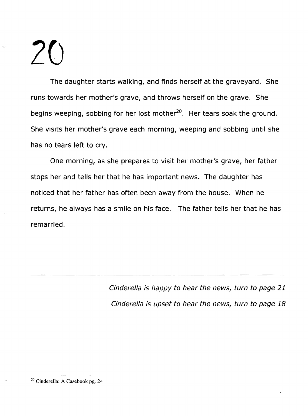The daughter starts walking, and finds herself at the graveyard. She runs towards her mother's grave, and throws herself on the grave. She begins weeping, sobbing for her lost mother<sup>20</sup>. Her tears soak the ground. She visits her mother's grave each morning, weeping and sobbing until she has no tears left to cry.

One morning, as she prepares to visit her mother's grave, her father stops her and tells her that he has important news. The daughter has noticed that her father has often been away from the house. When he returns, he always has a smile on his face. The father tells her that he has remarried.

> Cinderella is happy to hear the news, turn to page 21 Cinderella is upset to hear the news, turn to page 18

<sup>20</sup> Cinderella: A Casebook pg. 24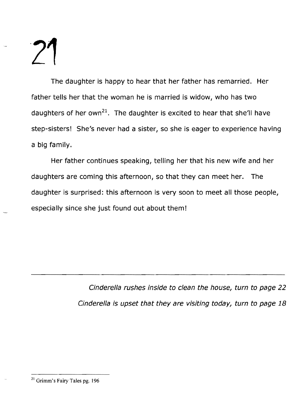The daughter is happy to hear that her father has remarried. Her father tells her that the woman he is married is widow, who has two daughters of her own<sup>21</sup>. The daughter is excited to hear that she'll have step-sisters! She's never had a sister, so she is eager to experience having a big family.

Her father continues speaking, telling her that his new wife and her daughters are coming this afternoon, so that they can meet her. The daughter is surprised: this afternoon is very soon to meet all those people, especially since she just found out about them!

> Cinderella rushes inside to clean the house, turn to page 22 Cinderella is upset that they are visiting today, turn to page 18

<sup>21</sup> Grimm's Fairy Tales pg. 196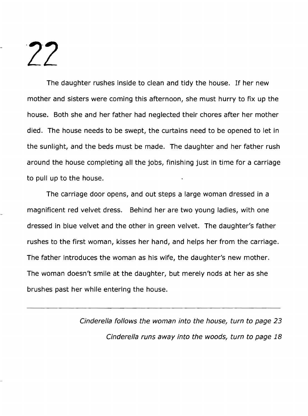The daughter rushes inside to clean and tidy the house. If her new mother and sisters were coming this afternoon, she must hurry to fix up the house. Both she and her father had neglected their chores after her mother died. The house needs to be swept, the curtains need to be opened to let in the sunlight, and the beds must be made. The daughter and her father rush around the house completing all the jobs, finishing just in time for a carriage to pull up to the house.

The carriage door opens, and out steps a large woman dressed in a magnificent red velvet dress. Behind her are two young ladies, with one dressed in blue velvet and the other in green velvet. The daughter's father rushes to the first woman, kisses her hand, and helps her from the carriage. The father introduces the woman as his wife, the daughter's new mother. The woman doesn't smile at the daughter, but merely nods at her as she brushes past her while entering the house.

> Cinderella follows the woman into the house, turn to page 23 Cinderella runs away into the woods, turn to page 18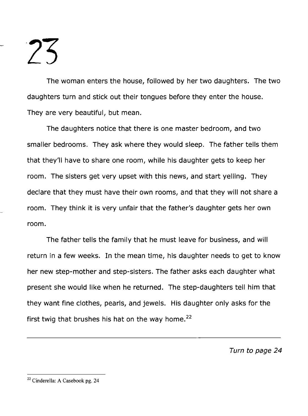**23** 

The woman enters the house, followed by her two daughters. The two daughters turn and stick out their tongues before they enter the house. They are very beautiful, but mean.

The daughters notice that there is one master bedroom, and two smaller bedrooms. They ask where they would sleep. The father tells them that they'll have to share one room, while his daughter gets to keep her room. The sisters get very upset with this news, and start yelling. They declare that they must have their own rooms, and that they will not share a room. They think it is very unfair that the father's daughter gets her own room.

The father tells the family that he must leave for business, and will return in a few weeks. In the mean time, his daughter needs to get to know her new step-mother and step-sisters. The father asks each daughter what present she would like when he returned. The step-daughters tell him that they want fine clothes, pearls, and jewels. His daughter only asks for the first twig that brushes his hat on the way home. $^{22}$ 

Turn to page 24

<sup>22</sup> Cinderella: A Casebook pg. 24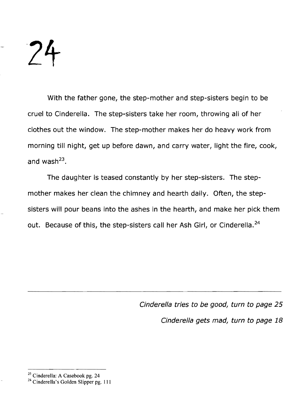**24** 

With the father gone, the step-mother and step-sisters begin to be cruel to Cinderella. The step-sisters take her room, throwing all of her clothes out the window. The step-mother makes her do heavy work from morning till night, get up before dawn, and carry water, light the fire, cook, and wash $^{23}$ .

The daughter is teased constantly by her step-sisters. The stepmother makes her clean the chimney and hearth daily. Often, the stepsisters will pour beans into the ashes in the hearth, and make her pick them out. Because of this, the step-sisters call her Ash Girl, or Cinderella.<sup>24</sup>

> Cinderella tries to be good, turn to page 25 Cinderella gets mad, turn to page 18

<sup>23</sup> Cinderella: A Casebook pg. 24

<sup>&</sup>lt;sup>24</sup> Cinderella's Golden Slipper pg. 111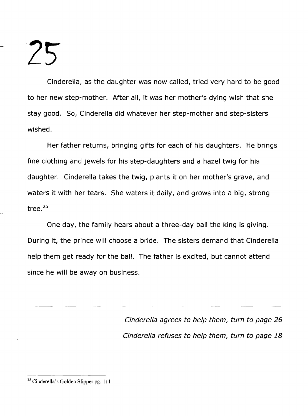Cinderella, as the daughter was now called, tried very hard to be good to her new step-mother. After all, it was her mother's dying wish that she stay good. So, Cinderella did whatever her step-mother and step-sisters wished.

Her father returns, bringing gifts for each of his daughters. He brings fine clothing and jewels for his step-daughters and a hazel twig for his daughter. Cinderella takes the twig, plants it on her mother's grave, and waters it with her tears. She waters it daily, and grows into a big, strong tree. <sup>25</sup>

One day, the family hears about a three-day ball the king is giving. During it, the prince will choose a bride. The sisters demand that Cinderella help them get ready for the ball. The father is excited, but cannot attend since he will be away on business.

> Cinderella agrees to help them, turn to page 26 Cinderella refuses to help them, turn to page 18

<sup>25</sup> Cinderella's Golden Slipper pg. III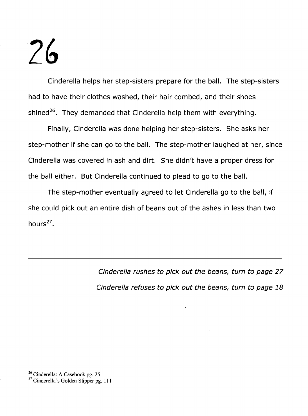Cinderella helps her step-sisters prepare for the ball. The step-sisters had to have their clothes washed, their hair combed, and their shoes shined<sup>26</sup>. They demanded that Cinderella help them with everything.

Finally, Cinderella was done helping her step-sisters. She asks her step-mother if she can go to the ball. The step-mother laughed at her, since Cinderella was covered in ash and dirt. She didn't have a proper dress for the ball either. But Cinderella continued to plead to go to the ball.

The step-mother eventually agreed to let Cinderella go to the ball, if she could pick out an entire dish of beans out of the ashes in less than two hours $^{27}$ .

> Cinderella rushes to pick out the beans, turn to page 27 Cinderella refuses to pick out the beans, turn to page 18

<sup>&</sup>lt;sup>26</sup> Cinderella: A Casebook pg. 25

 $27$  Cinderella's Golden Slipper pg. 111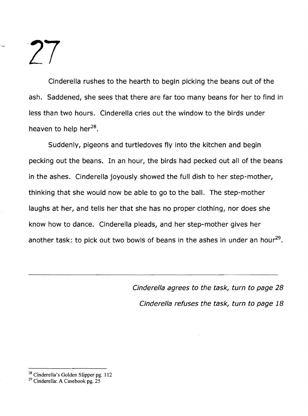Cinderella rushes to the hearth to begin picking the beans out of the ash. Saddened, she sees that there are far too many beans for her to find in less than two hours. Cinderella cries out the window to the birds under heaven to help her $^{28}$ .

Suddenly, pigeons and turtledoves fly into the kitchen and begin pecking out the beans. In an hour, the birds had pecked out all of the beans in the ashes. Cinderella joyously showed the full dish to her step-mother, thinking that she would now be able to go to the ball. The step-mother laughs at her, and tells her that she has no proper clothing, nor does she know how to dance. Cinderella pleads, and her step-mother gives her another task: to pick out two bowls of beans in the ashes in under an hour<sup>29</sup>.

> Cinderella agrees to the task, turn to page 28 Cinderella refuses the task, turn to page 18

<sup>&</sup>lt;sup>28</sup> Cinderella's Golden Slipper pg. 112

<sup>&</sup>lt;sup>29</sup> Cinderella: A Casebook pg. 25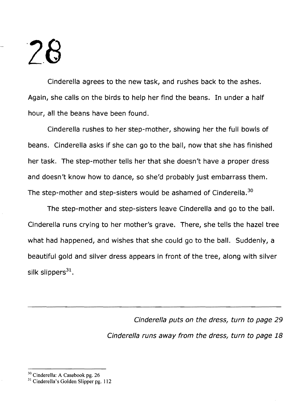Cinderella agrees to the new task, and rushes back to the ashes. Again, she calls on the birds to help her find the beans. In under a half hour, all the beans have been found.

Cinderella rushes to her step-mother, showing her the full bowls of beans. Cinderella asks if she can go to the ball, now that she has finished her task. The step-mother tells her that she doesn't have a proper dress and doesn't know how to dance, so she'd probably just embarrass them. The step-mother and step-sisters would be ashamed of Cinderella.<sup>30</sup>

The step-mother and step-sisters leave Cinderella and go to the ball. Cinderella runs crying to her mother's grave. There, she tells the hazel tree what had happened, and wishes that she could go to the ball. Suddenly, a beautiful gold and silver dress appears in front of the tree, along with silver silk slippers $^{31}$ .

> Cinderella puts on the dress, turn to page 29 Cinderella runs away from the dress, turn to page 18

<sup>30</sup> Cinderella: A Casebook pg. 26

<sup>&</sup>lt;sup>31</sup> Cinderella's Golden Slipper pg. 112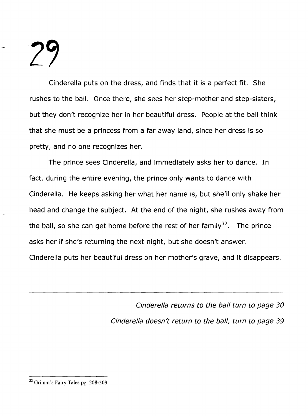Cinderella puts on the dress, and finds that it is a perfect fit. She rushes to the ball. Once there, she sees her step-mother and step-sisters, but they don't recognize her in her beautiful dress. People at the ball think that she must be a princess from a far away land, since her dress is so pretty, and no one recognizes her.

The prince sees Cinderella, and immediately asks her to dance. In fact, during the entire evening, the prince only wants to dance with Cinderella. He keeps asking her what her name is, but she'll only shake her head and change the subject. At the end of the night, she rushes away from the ball, so she can get home before the rest of her family<sup>32</sup>. The prince asks her if she's returning the next night, but she doesn't answer. Cinderella puts her beautiful dress on her mother's grave, and it disappears.

> Cinderella returns to the ball turn to page 30 Cinderella doesn't return to the ball, turn to page 39

<sup>32</sup> Grimm's Fairy Tales pg. 208-209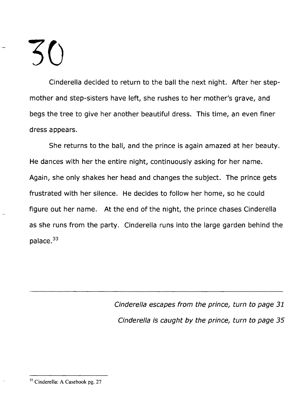Cinderella decided to return to the ball the next night. After her stepmother and step-sisters have left, she rushes to her mother's grave, and begs the tree to give her another beautiful dress. This time, an even finer dress appears.

She returns to the ball, and the prince is again amazed at her beauty. He dances with her the entire night, continuously asking for her name. Again, she only shakes her head and changes the subject. The prince gets frustrated with her silence. He decides to follow her home, so he could figure out her name. At the end of the night, the prince chases Cinderella as she runs from the party. Cinderella runs into the large garden behind the palace.<sup>33</sup>

> Cinderella escapes from the prince, turn to page 31 Cinderella is caught *by* the prince, turn to page 35

<sup>33</sup> Cinderella: A Casebook pg. 27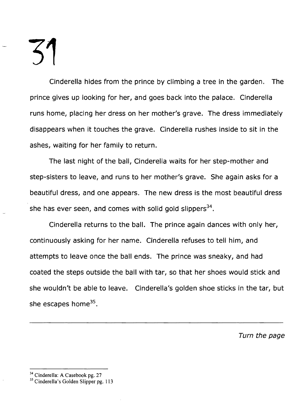Cinderella hides from the prince by climbing a tree in the garden. The prince gives up looking for her, and goes back into the palace. Cinderella runs home, placing her dress on her mother's grave. The dress immediately disappears when it touches the grave. Cinderella rushes inside to sit in the ashes, waiting for her family to return.

The last night of the ball, Cinderella waits for her step-mother and step-sisters to leave, and runs to her mother's grave. She again asks for a beautiful dress, and one appears. The new dress is the most beautiful dress she has ever seen, and comes with solid gold slippers<sup>34</sup>.

Cinderella returns to the ball. The prince again dances with only her, continuously asking for her name. Cinderella refuses to tell him, and attempts to leave once the ball ends. The prince was sneaky, and had coated the steps outside the ball with tar, so that her shoes would stick and she wouldn't be able to leave. Cinderella's golden shoe sticks in the tar, but she escapes home $35$ .

Turn the page

<sup>&</sup>lt;sup>34</sup> Cinderella: A Casebook pg. 27

<sup>&</sup>lt;sup>35</sup> Cinderella's Golden Slipper pg. 113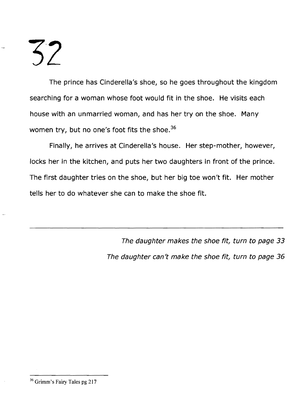The prince has Cinderella's shoe, so he goes throughout the kingdom searching for a woman whose foot would fit in the shoe. He visits each house with an unmarried woman, and has her try on the shoe. Many women try, but no one's foot fits the shoe.<sup>36</sup>

Finally, he arrives at Cinderella's house. Her step-mother, however, locks her in the kitchen, and puts her two daughters in front of the prince. The first daughter tries on the shoe, but her big toe won't fit. Her mother tells her to do whatever she can to make the shoe fit.

> The daughter makes the shoe fit, turn to page 33 The daughter can't make the shoe fit, turn to page 36

<sup>36</sup> Grimm's Fairy Tales pg 217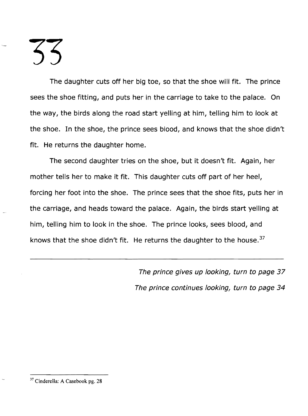The daughter cuts off her big toe, so that the shoe will fit. The prince sees the shoe fitting, and puts her in the carriage to take to the palace. On the way, the birds along the road start yelling at him, telling him to look at the shoe. In the shoe, the prince sees blood, and knows that the shoe didn't fit. He returns the daughter home.

The second daughter tries on the shoe, but it doesn't fit. Again, her mother tells her to make it fit. This daughter cuts off part of her heel, forcing her foot into the shoe. The prince sees that the shoe fits, puts her in the carriage, and heads toward the palace. Again, the birds start yelling at him, telling him to look in the shoe. The prince looks, sees blood, and knows that the shoe didn't fit. He returns the daughter to the house.<sup>37</sup>

> The prince gives up looking, turn to page 37 The prince continues looking, turn to page 34

<sup>37</sup> Cinderella: A Casebook pg. 28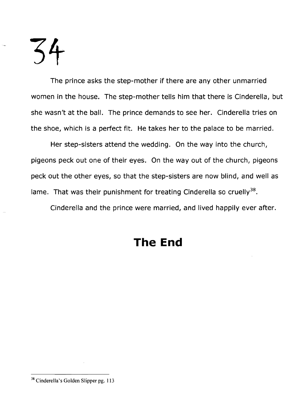The prince asks the step-mother if there are any other unmarried women in the house. The step-mother tells him that there is Cinderella, but she wasn't at the ball. The prince demands to see her. Cinderella tries on the shoe, which is a perfect fit. He takes her to the palace to be married.

Her step-sisters attend the wedding. On the way into the church, pigeons peck out one of their eyes. On the way out of the church, pigeons peck out the other eyes, so that the step-sisters are now blind, and well as lame. That was their punishment for treating Cinderella so cruelly<sup>38</sup>.

Cinderella and the prince were married, and lived happily ever after.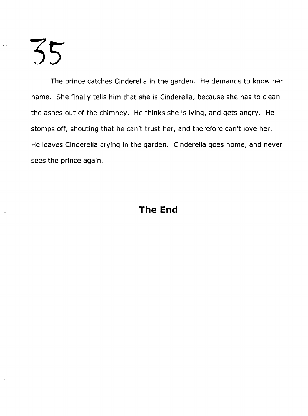The prince catches Cinderella in the garden. He demands to know her name. She finally tells him that she is Cinderella, because she has to clean the ashes out of the chimney. He thinks she is lying, and gets angry. He stomps off, shouting that he can't trust her, and therefore can't love her. He leaves Cinderella crying in the garden. Cinderella goes home, and never sees the prince again.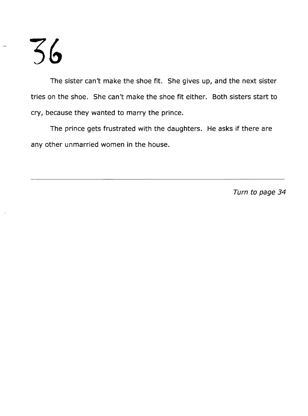The sister can't make the shoe fit. She gives up, and the next sister tries on the shoe. She can't make the shoe fit either. Both sisters start to cry, because they wanted to marry the prince.

The prince gets frustrated with the daughters. He asks if there are any other unmarried women in the house.

Turn to page 34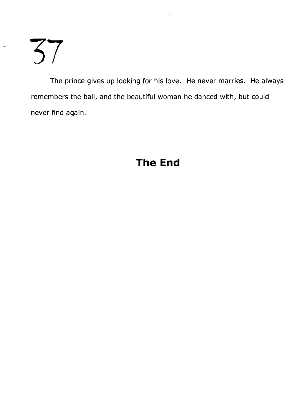The prince gives up looking for his love. He never marries. He always remembers the ball, and the beautiful woman he danced with, but could never find again.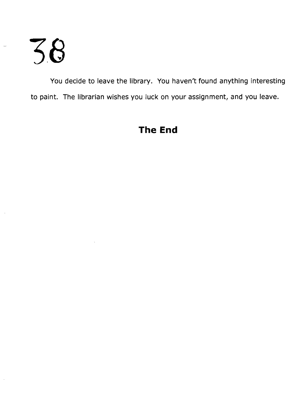You decide to leave the library. You haven't found anything interesting to paint. The librarian wishes you luck on your assignment, and you leave.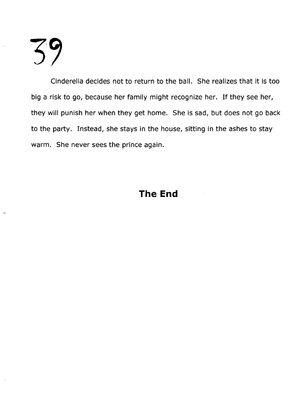Cinderella decides not to return to the ball. She realizes that it is too big a risk to go, because her family might recognize her. If they see her, they will punish her when they get home. She is sad, but does not go back to the party. Instead, she stays in the house, sitting in the ashes to stay warm. She never sees the prince again.